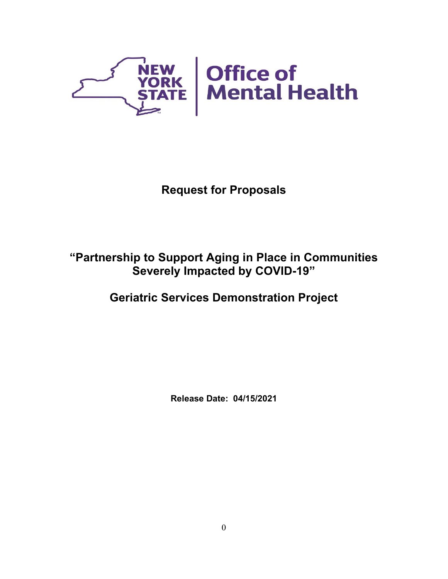

# **Request for Proposals**

# **"Partnership to Support Aging in Place in Communities Severely Impacted by COVID-19"**

# **Geriatric Services Demonstration Project**

**Release Date: 04/15/2021**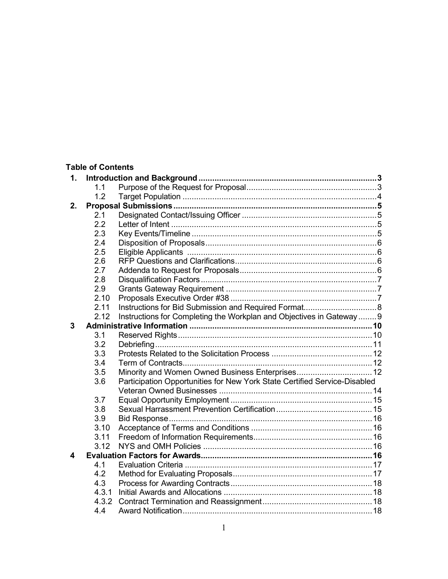# **Table of Contents**

| 1. |       |                                                                           |  |  |  |
|----|-------|---------------------------------------------------------------------------|--|--|--|
|    | 11    |                                                                           |  |  |  |
|    | 1.2   |                                                                           |  |  |  |
| 2. |       |                                                                           |  |  |  |
|    | 2.1   |                                                                           |  |  |  |
|    | 2.2   |                                                                           |  |  |  |
|    | 2.3   |                                                                           |  |  |  |
|    | 2.4   |                                                                           |  |  |  |
|    | 2.5   |                                                                           |  |  |  |
|    | 2.6   |                                                                           |  |  |  |
|    | 2.7   |                                                                           |  |  |  |
|    | 2.8   |                                                                           |  |  |  |
|    | 2.9   |                                                                           |  |  |  |
|    | 2.10  |                                                                           |  |  |  |
|    | 2.11  |                                                                           |  |  |  |
|    | 2.12  | Instructions for Completing the Workplan and Objectives in Gateway9       |  |  |  |
| 3  |       |                                                                           |  |  |  |
|    | 3.1   |                                                                           |  |  |  |
|    | 3.2   |                                                                           |  |  |  |
|    | 3.3   |                                                                           |  |  |  |
|    | 3.4   |                                                                           |  |  |  |
|    | 3.5   |                                                                           |  |  |  |
|    | 3.6   | Participation Opportunities for New York State Certified Service-Disabled |  |  |  |
|    |       |                                                                           |  |  |  |
|    | 3.7   |                                                                           |  |  |  |
|    | 3.8   |                                                                           |  |  |  |
|    | 3.9   |                                                                           |  |  |  |
|    | 3.10  |                                                                           |  |  |  |
|    | 3.11  |                                                                           |  |  |  |
|    | 3.12  |                                                                           |  |  |  |
| 4  |       |                                                                           |  |  |  |
|    | 4.1   |                                                                           |  |  |  |
|    | 4.2   |                                                                           |  |  |  |
|    | 4.3   |                                                                           |  |  |  |
|    | 4.3.1 |                                                                           |  |  |  |
|    | 4.3.2 |                                                                           |  |  |  |
|    | 4.4   |                                                                           |  |  |  |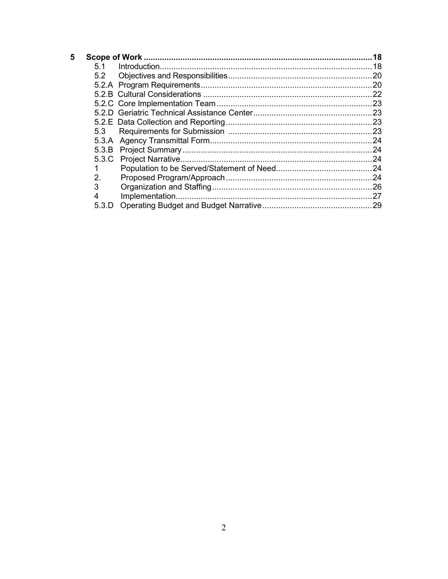| 5 |         |  |
|---|---------|--|
|   | 5.1     |  |
|   | 5.2     |  |
|   |         |  |
|   |         |  |
|   |         |  |
|   |         |  |
|   |         |  |
|   | 5.3     |  |
|   |         |  |
|   |         |  |
|   |         |  |
|   |         |  |
|   | $2_{-}$ |  |
|   | 3       |  |
|   | 4       |  |
|   | 5.3.D   |  |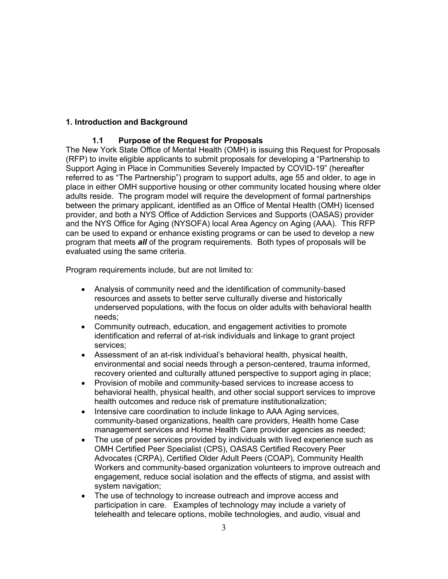# **1. Introduction and Background**

# **1.1 Purpose of the Request for Proposals**

The New York State Office of Mental Health (OMH) is issuing this Request for Proposals (RFP) to invite eligible applicants to submit proposals for developing a "Partnership to Support Aging in Place in Communities Severely Impacted by COVID-19" (hereafter referred to as "The Partnership") program to support adults, age 55 and older, to age in place in either OMH supportive housing or other community located housing where older adults reside. The program model will require the development of formal partnerships between the primary applicant, identified as an Office of Mental Health (OMH) licensed provider, and both a NYS Office of Addiction Services and Supports (OASAS) provider and the NYS Office for Aging (NYSOFA) local Area Agency on Aging (AAA). This RFP can be used to expand or enhance existing programs or can be used to develop a new program that meets *all* of the program requirements. Both types of proposals will be evaluated using the same criteria.

Program requirements include, but are not limited to:

- Analysis of community need and the identification of community-based resources and assets to better serve culturally diverse and historically underserved populations, with the focus on older adults with behavioral health needs;
- Community outreach, education, and engagement activities to promote identification and referral of at-risk individuals and linkage to grant project services;
- Assessment of an at-risk individual's behavioral health, physical health, environmental and social needs through a person-centered, trauma informed, recovery oriented and culturally attuned perspective to support aging in place;
- Provision of mobile and community-based services to increase access to behavioral health, physical health, and other social support services to improve health outcomes and reduce risk of premature institutionalization;
- Intensive care coordination to include linkage to AAA Aging services, community-based organizations, health care providers, Health home Case management services and Home Health Care provider agencies as needed;
- The use of peer services provided by individuals with lived experience such as OMH Certified Peer Specialist (CPS), OASAS Certified Recovery Peer Advocates (CRPA), Certified Older Adult Peers (COAP), Community Health Workers and community-based organization volunteers to improve outreach and engagement, reduce social isolation and the effects of stigma, and assist with system navigation;
- The use of technology to increase outreach and improve access and participation in care. Examples of technology may include a variety of telehealth and telecare options, mobile technologies, and audio, visual and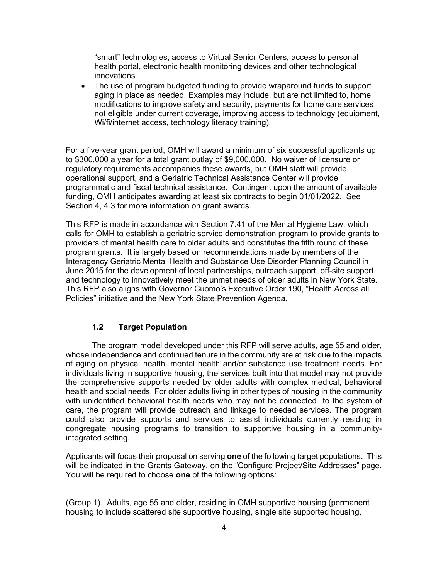"smart" technologies, access to Virtual Senior Centers, access to personal health portal, electronic health monitoring devices and other technological innovations.

• The use of program budgeted funding to provide wraparound funds to support aging in place as needed. Examples may include, but are not limited to, home modifications to improve safety and security, payments for home care services not eligible under current coverage, improving access to technology (equipment, Wi/fi/internet access, technology literacy training).

For a five-year grant period, OMH will award a minimum of six successful applicants up to \$300,000 a year for a total grant outlay of \$9,000,000. No waiver of licensure or regulatory requirements accompanies these awards, but OMH staff will provide operational support, and a Geriatric Technical Assistance Center will provide programmatic and fiscal technical assistance. Contingent upon the amount of available funding, OMH anticipates awarding at least six contracts to begin 01/01/2022. See Section 4, 4.3 for more information on grant awards.

This RFP is made in accordance with Section 7.41 of the Mental Hygiene Law, which calls for OMH to establish a geriatric service demonstration program to provide grants to providers of mental health care to older adults and constitutes the fifth round of these program grants. It is largely based on recommendations made by members of the Interagency Geriatric Mental Health and Substance Use Disorder Planning Council in June 2015 for the development of local partnerships, outreach support, off-site support, and technology to innovatively meet the unmet needs of older adults in New York State. This RFP also aligns with Governor Cuomo's Executive Order 190, "Health Across all Policies" initiative and the New York State Prevention Agenda.

## **1.2 Target Population**

The program model developed under this RFP will serve adults, age 55 and older, whose independence and continued tenure in the community are at risk due to the impacts of aging on physical health, mental health and/or substance use treatment needs. For individuals living in supportive housing, the services built into that model may not provide the comprehensive supports needed by older adults with complex medical, behavioral health and social needs. For older adults living in other types of housing in the community with unidentified behavioral health needs who may not be connected to the system of care, the program will provide outreach and linkage to needed services. The program could also provide supports and services to assist individuals currently residing in congregate housing programs to transition to supportive housing in a communityintegrated setting.

Applicants will focus their proposal on serving **one** of the following target populations. This will be indicated in the Grants Gateway, on the "Configure Project/Site Addresses" page. You will be required to choose **one** of the following options:

(Group 1). Adults, age 55 and older, residing in OMH supportive housing (permanent housing to include scattered site supportive housing, single site supported housing,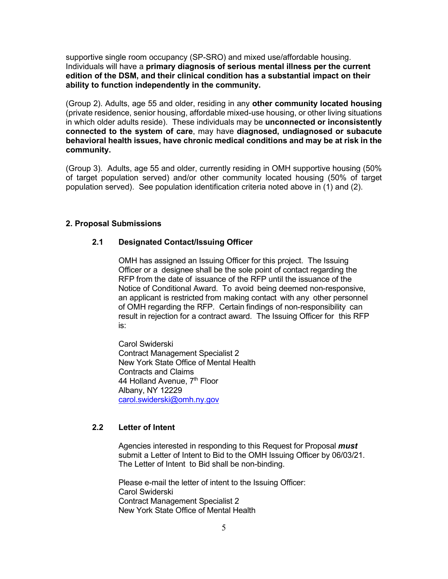supportive single room occupancy (SP-SRO) and mixed use/affordable housing. Individuals will have a **primary diagnosis of serious mental illness per the current edition of the DSM, and their clinical condition has a substantial impact on their ability to function independently in the community.**

(Group 2). Adults, age 55 and older, residing in any **other community located housing** (private residence, senior housing, affordable mixed-use housing, or other living situations in which older adults reside). These individuals may be **unconnected or inconsistently connected to the system of care**, may have **diagnosed, undiagnosed or subacute behavioral health issues, have chronic medical conditions and may be at risk in the community.**

(Group 3). Adults, age 55 and older, currently residing in OMH supportive housing (50% of target population served) and/or other community located housing (50% of target population served). See population identification criteria noted above in (1) and (2).

#### **2. Proposal Submissions**

#### **2.1 Designated Contact/Issuing Officer**

OMH has assigned an Issuing Officer for this project. The Issuing Officer or a designee shall be the sole point of contact regarding the RFP from the date of issuance of the RFP until the issuance of the Notice of Conditional Award. To avoid being deemed non-responsive, an applicant is restricted from making contact with any other personnel of OMH regarding the RFP. Certain findings of non-responsibility can result in rejection for a contract award. The Issuing Officer for this RFP is:

Carol Swiderski Contract Management Specialist 2 New York State Office of Mental Health Contracts and Claims 44 Holland Avenue, 7<sup>th</sup> Floor Albany, NY 12229 [carol.swiderski@omh.ny.gov](mailto:carol.swiderski@omh.ny.gov)

#### **2.2 Letter of Intent**

Agencies interested in responding to this Request for Proposal *must* submit a Letter of Intent to Bid to the OMH Issuing Officer by 06/03/21. The Letter of Intent to Bid shall be non-binding.

Please e-mail the letter of intent to the Issuing Officer: Carol Swiderski Contract Management Specialist 2 New York State Office of Mental Health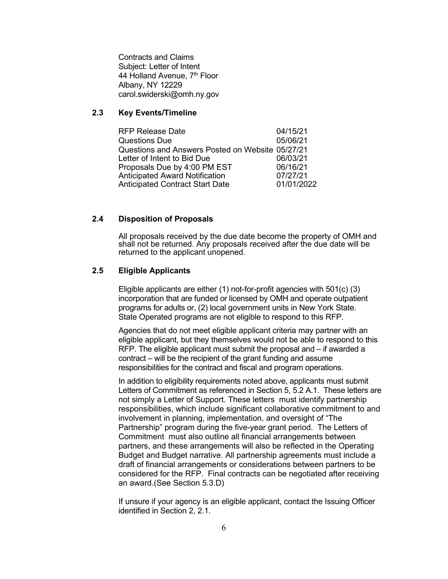Contracts and Claims Subject: Letter of Intent 44 Holland Avenue, 7<sup>th</sup> Floor Albany, NY 12229 carol.swiderski@omh.ny.gov

# **2.3 Key Events/Timeline**

RFP Release Date 04/15/21 Questions Due 05/06/21 Questions and Answers Posted on Website 05/27/21 Letter of Intent to Bid Due 06/03/21 Proposals Due by 4:00 PM EST 06/16/21 Anticipated Award Notification 07/27/21 Anticipated Contract Start Date

#### **2.4 Disposition of Proposals**

All proposals received by the due date become the property of OMH and shall not be returned. Any proposals received after the due date will be returned to the applicant unopened.

#### **2.5 Eligible Applicants**

Eligible applicants are either (1) not-for-profit agencies with 501(c) (3) incorporation that are funded or licensed by OMH and operate outpatient programs for adults or, (2) local government units in New York State. State Operated programs are not eligible to respond to this RFP.

Agencies that do not meet eligible applicant criteria may partner with an eligible applicant, but they themselves would not be able to respond to this RFP. The eligible applicant must submit the proposal and – if awarded a contract – will be the recipient of the grant funding and assume responsibilities for the contract and fiscal and program operations.

In addition to eligibility requirements noted above, applicants must submit Letters of Commitment as referenced in Section 5, 5.2 A.1. These letters are not simply a Letter of Support. These letters must identify partnership responsibilities, which include significant collaborative commitment to and involvement in planning, implementation, and oversight of "The Partnership" program during the five-year grant period. The Letters of Commitment must also outline all financial arrangements between partners, and these arrangements will also be reflected in the Operating Budget and Budget narrative. All partnership agreements must include a draft of financial arrangements or considerations between partners to be considered for the RFP. Final contracts can be negotiated after receiving an award.(See Section 5.3.D)

If unsure if your agency is an eligible applicant, contact the Issuing Officer identified in Section 2, 2.1.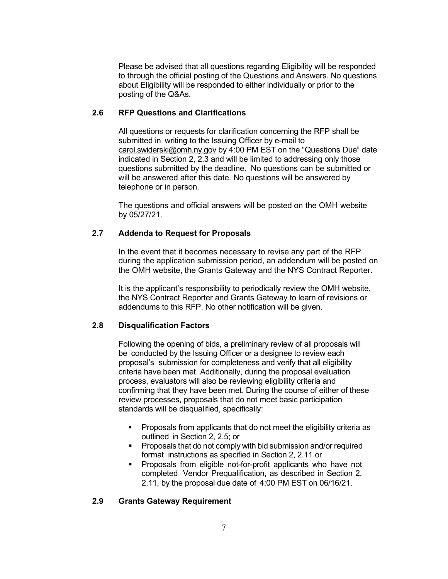Please be advised that all questions regarding Eligibility will be responded to through the official posting of the Questions and Answers. No questions about Eligibility will be responded to either individually or prior to the posting of the Q&As.

# **2.6 RFP Questions and Clarifications**

All questions or requests for clarification concerning the RFP shall be submitted in writing to the Issuing Officer by e-mail to [carol.swiderski@omh.ny.gov](mailto:carol.swiderski@omh.ny.gov) by 4:00 PM EST on the "Questions Due" date indicated in Section 2, 2.3 and will be limited to addressing only those questions submitted by the deadline. No questions can be submitted or will be answered after this date. No questions will be answered by telephone or in person.

The questions and official answers will be posted on the OMH website by 05/27/21.

# **2.7 Addenda to Request for Proposals**

In the event that it becomes necessary to revise any part of the RFP during the application submission period, an addendum will be posted on the OMH website, the Grants Gateway and the NYS Contract Reporter.

It is the applicant's responsibility to periodically review the OMH website, the NYS Contract Reporter and Grants Gateway to learn of revisions or addendums to this RFP. No other notification will be given.

# **2.8 Disqualification Factors**

Following the opening of bids, a preliminary review of all proposals will be conducted by the Issuing Officer or a designee to review each proposal's submission for completeness and verify that all eligibility criteria have been met. Additionally, during the proposal evaluation process, evaluators will also be reviewing eligibility criteria and confirming that they have been met. During the course of either of these review processes, proposals that do not meet basic participation standards will be disqualified, specifically:

- **Proposals from applicants that do not meet the eligibility criteria as** outlined in Section 2, 2.5; or
- **Proposals that do not comply with bid submission and/or required** format instructions as specified in Section 2, 2.11 or
- **Proposals from eligible not-for-profit applicants who have not** completed Vendor Prequalification, as described in Section 2, 2.11, by the proposal due date of 4:00 PM EST on 06/16/21.

# **2.9 Grants Gateway Requirement**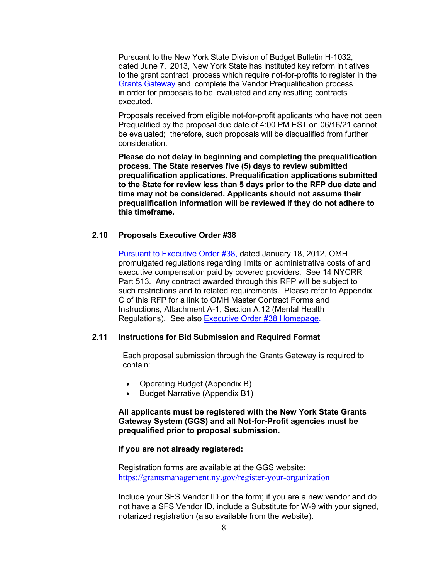Pursuant to the New York State Division of Budget Bulletin H-1032, dated June 7, 2013, New York State has instituted key reform initiatives to the grant contract process which require not-for-profits to register in the Grants [Gateway](https://grantsreform.ny.gov/) and complete the Vendor Prequalification process in order for proposals to be evaluated and any resulting contracts executed.

Proposals received from eligible not-for-profit applicants who have not been Prequalified by the proposal due date of 4:00 PM EST on 06/16/21 cannot be evaluated; therefore, such proposals will be disqualified from further consideration.

**Please do not delay in beginning and completing the prequalification process. The State reserves five (5) days to review submitted prequalification applications. Prequalification applications submitted to the State for review less than 5 days prior to the RFP due date and time may not be considered. Applicants should not assume their prequalification information will be reviewed if they do not adhere to this timeframe.**

#### **2.10 Proposals Executive Order #38**

[Pursuant to Executive Order #38,](http://www.governor.ny.gov/news/no-38-limits-state-funded-administrative-costs-executive-compensation) dated January 18, 2012, OMH promulgated regulations regarding limits on administrative costs of and executive compensation paid by covered providers. See 14 NYCRR Part 513. Any contract awarded through this RFP will be subject to such restrictions and to related requirements. Please refer to Appendix C of this RFP for a link to OMH Master Contract Forms and Instructions, Attachment A-1, Section A.12 (Mental Health Regulations). See also [Executive Order #38 Homepage.](https://executiveorder38.ny.gov/) 

#### **2.11 Instructions for Bid Submission and Required Format**

Each proposal submission through the Grants Gateway is required to contain:

- Operating Budget (Appendix B)
- Budget Narrative (Appendix B1)

#### **All applicants must be registered with the New York State Grants Gateway System (GGS) and all Not-for-Profit agencies must be prequalified prior to proposal submission.**

#### **If you are not already registered:**

Registration forms are available at the GGS website: <https://grantsmanagement.ny.gov/register-your-organization>

Include your SFS Vendor ID on the form; if you are a new vendor and do not have a SFS Vendor ID, include a Substitute for W-9 with your signed, notarized registration (also available from the website).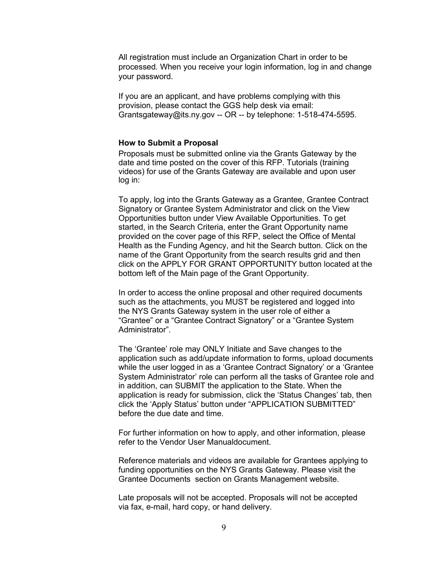All registration must include an Organization Chart in order to be processed. When you receive your login information, log in and change your password.

If you are an applicant, and have problems complying with this provision, please contact the GGS help desk via email: Grantsgateway@its.ny.gov -- OR -- by telephone: 1-518-474-5595.

#### **How to Submit a Proposal**

Proposals must be submitted online via the Grants Gateway by the date and time posted on the cover of this RFP. Tutorials (training videos) for use of the Grants Gateway are available and upon user log in:

To apply, log into the Grants Gateway as a Grantee, Grantee Contract Signatory or Grantee System Administrator and click on the View Opportunities button under View Available Opportunities. To get started, in the Search Criteria, enter the Grant Opportunity name provided on the cover page of this RFP, select the Office of Mental Health as the Funding Agency, and hit the Search button. Click on the name of the Grant Opportunity from the search results grid and then click on the APPLY FOR GRANT OPPORTUNITY button located at the bottom left of the Main page of the Grant Opportunity.

In order to access the online proposal and other required documents such as the attachments, you MUST be registered and logged into the NYS Grants Gateway system in the user role of either a "Grantee" or a "Grantee Contract Signatory" or a "Grantee System Administrator".

The 'Grantee' role may ONLY Initiate and Save changes to the application such as add/update information to forms, upload documents while the user logged in as a 'Grantee Contract Signatory' or a 'Grantee System Administrator' role can perform all the tasks of Grantee role and in addition, can SUBMIT the application to the State. When the application is ready for submission, click the 'Status Changes' tab, then click the 'Apply Status' button under "APPLICATION SUBMITTED" before the due date and time.

For further information on how to apply, and other information, please refer to the Vendor User Manualdocument.

Reference materials and videos are available for Grantees applying to funding opportunities on the NYS Grants Gateway. Please visit the [Grantee Documents](https://grantsmanagement.ny.gov/grantee-documents) section on Grants Management website.

Late proposals will not be accepted. Proposals will not be accepted via fax, e-mail, hard copy, or hand delivery.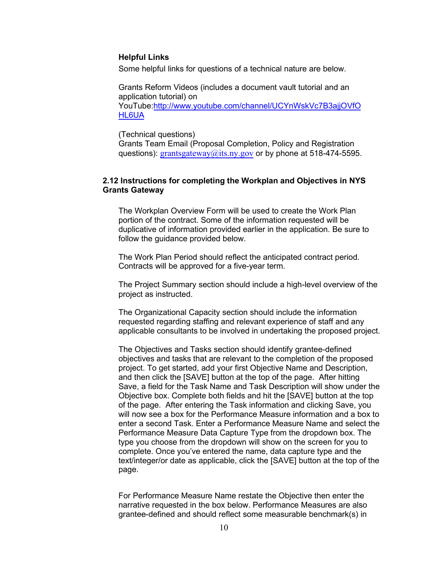#### **Helpful Links**

Some helpful links for questions of a technical nature are below.

Grants Reform Videos (includes a document vault tutorial and an application tutorial) on YouTube[:http://www.youtube.com/channel/UCYnWskVc7B3ajjOVfO](http://www.youtube.com/channel/UCYnWskVc7B3ajjOVfOHL6UA) [HL6UA](http://www.youtube.com/channel/UCYnWskVc7B3ajjOVfOHL6UA)

(Technical questions)

Grants Team Email (Proposal Completion, Policy and Registration questions): [grantsgateway@its.ny.gov](mailto:grantsgateway@its.ny.gov) or by phone at 518-474-5595.

# **2.12 Instructions for completing the Workplan and Objectives in NYS Grants Gateway**

The Workplan Overview Form will be used to create the Work Plan portion of the contract. Some of the information requested will be duplicative of information provided earlier in the application. Be sure to follow the guidance provided below.

The Work Plan Period should reflect the anticipated contract period. Contracts will be approved for a five-year term.

The Project Summary section should include a high-level overview of the project as instructed.

The Organizational Capacity section should include the information requested regarding staffing and relevant experience of staff and any applicable consultants to be involved in undertaking the proposed project.

The Objectives and Tasks section should identify grantee-defined objectives and tasks that are relevant to the completion of the proposed project. To get started, add your first Objective Name and Description, and then click the [SAVE] button at the top of the page. After hitting Save, a field for the Task Name and Task Description will show under the Objective box. Complete both fields and hit the [SAVE] button at the top of the page. After entering the Task information and clicking Save, you will now see a box for the Performance Measure information and a box to enter a second Task. Enter a Performance Measure Name and select the Performance Measure Data Capture Type from the dropdown box. The type you choose from the dropdown will show on the screen for you to complete. Once you've entered the name, data capture type and the text/integer/or date as applicable, click the [SAVE] button at the top of the page.

For Performance Measure Name restate the Objective then enter the narrative requested in the box below. Performance Measures are also grantee-defined and should reflect some measurable benchmark(s) in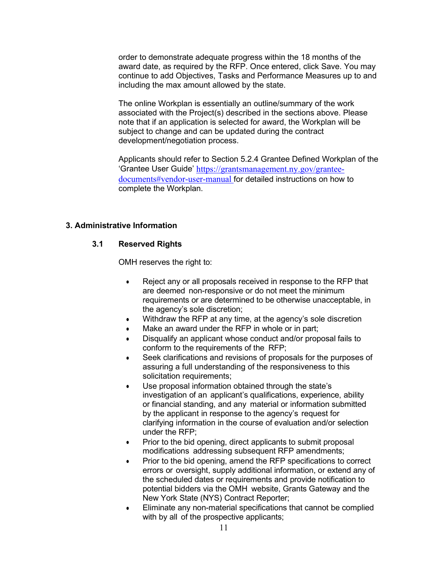order to demonstrate adequate progress within the 18 months of the award date, as required by the RFP. Once entered, click Save. You may continue to add Objectives, Tasks and Performance Measures up to and including the max amount allowed by the state.

The online Workplan is essentially an outline/summary of the work associated with the Project(s) described in the sections above. Please note that if an application is selected for award, the Workplan will be subject to change and can be updated during the contract development/negotiation process.

Applicants should refer to Section 5.2.4 Grantee Defined Workplan of the 'Grantee User Guide' [https://grantsmanagement.ny.gov/grantee](https://grantsmanagement.ny.gov/grantee-documents#vendor-user-manual)[documents#vendor-user-manual](https://grantsmanagement.ny.gov/grantee-documents#vendor-user-manual) for detailed instructions on how to complete the Workplan.

# **3. Administrative Information**

# **3.1 Reserved Rights**

OMH reserves the right to:

- Reject any or all proposals received in response to the RFP that are deemed non-responsive or do not meet the minimum requirements or are determined to be otherwise unacceptable, in the agency's sole discretion;
- Withdraw the RFP at any time, at the agency's sole discretion
- Make an award under the RFP in whole or in part;
- Disqualify an applicant whose conduct and/or proposal fails to conform to the requirements of the RFP;
- Seek clarifications and revisions of proposals for the purposes of assuring a full understanding of the responsiveness to this solicitation requirements;
- Use proposal information obtained through the state's investigation of an applicant's qualifications, experience, ability or financial standing, and any material or information submitted by the applicant in response to the agency's request for clarifying information in the course of evaluation and/or selection under the RFP;
- Prior to the bid opening, direct applicants to submit proposal modifications addressing subsequent RFP amendments;
- Prior to the bid opening, amend the RFP specifications to correct errors or oversight, supply additional information, or extend any of the scheduled dates or requirements and provide notification to potential bidders via the OMH website, Grants Gateway and the New York State (NYS) Contract Reporter;
- Eliminate any non-material specifications that cannot be complied with by all of the prospective applicants;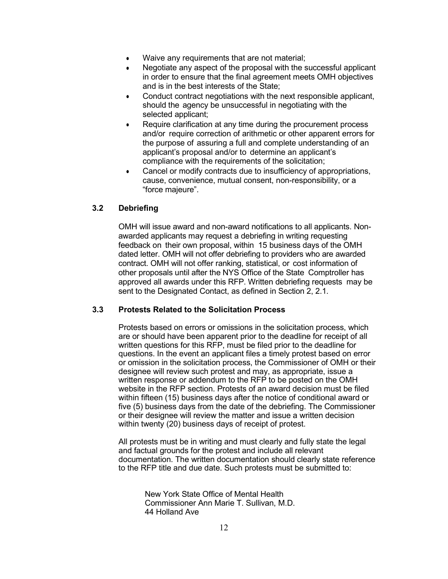- Waive any requirements that are not material;
- Negotiate any aspect of the proposal with the successful applicant in order to ensure that the final agreement meets OMH objectives and is in the best interests of the State;
- Conduct contract negotiations with the next responsible applicant, should the agency be unsuccessful in negotiating with the selected applicant;
- Require clarification at any time during the procurement process and/or require correction of arithmetic or other apparent errors for the purpose of assuring a full and complete understanding of an applicant's proposal and/or to determine an applicant's compliance with the requirements of the solicitation;
- Cancel or modify contracts due to insufficiency of appropriations, cause, convenience, mutual consent, non-responsibility, or a "force majeure".

#### **3.2 Debriefing**

OMH will issue award and non-award notifications to all applicants. Nonawarded applicants may request a debriefing in writing requesting feedback on their own proposal, within 15 business days of the OMH dated letter. OMH will not offer debriefing to providers who are awarded contract. OMH will not offer ranking, statistical, or cost information of other proposals until after the NYS Office of the State Comptroller has approved all awards under this RFP. Written debriefing requests may be sent to the Designated Contact, as defined in Section 2, 2.1.

# **3.3 Protests Related to the Solicitation Process**

Protests based on errors or omissions in the solicitation process, which are or should have been apparent prior to the deadline for receipt of all written questions for this RFP, must be filed prior to the deadline for questions. In the event an applicant files a timely protest based on error or omission in the solicitation process, the Commissioner of OMH or their designee will review such protest and may, as appropriate, issue a written response or addendum to the RFP to be posted on the OMH website in the RFP section. Protests of an award decision must be filed within fifteen (15) business days after the notice of conditional award or five (5) business days from the date of the debriefing. The Commissioner or their designee will review the matter and issue a written decision within twenty (20) business days of receipt of protest.

All protests must be in writing and must clearly and fully state the legal and factual grounds for the protest and include all relevant documentation. The written documentation should clearly state reference to the RFP title and due date. Such protests must be submitted to:

> New York State Office of Mental Health Commissioner Ann Marie T. Sullivan, M.D. 44 Holland Ave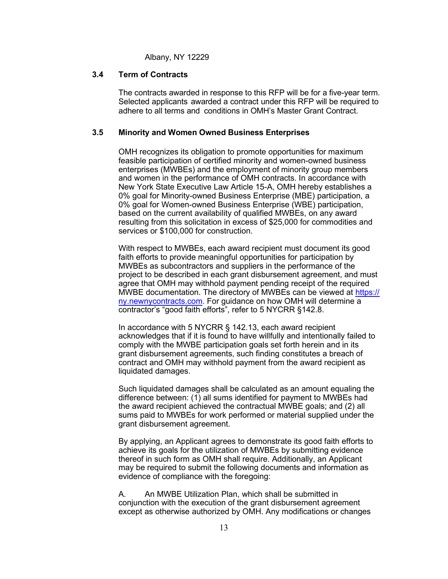Albany, NY 12229

#### **3.4 Term of Contracts**

The contracts awarded in response to this RFP will be for a five-year term. Selected applicants awarded a contract under this RFP will be required to adhere to all terms and conditions in OMH's Master Grant Contract.

#### **3.5 Minority and Women Owned Business Enterprises**

OMH recognizes its obligation to promote opportunities for maximum feasible participation of certified minority and women-owned business enterprises (MWBEs) and the employment of minority group members and women in the performance of OMH contracts. In accordance with New York State Executive Law Article 15-A, OMH hereby establishes a 0% goal for Minority-owned Business Enterprise (MBE) participation, a 0% goal for Women-owned Business Enterprise (WBE) participation, based on the current availability of qualified MWBEs, on any award resulting from this solicitation in excess of \$25,000 for commodities and services or \$100,000 for construction.

With respect to MWBEs, each award recipient must document its good faith efforts to provide meaningful opportunities for participation by MWBEs as subcontractors and suppliers in the performance of the project to be described in each grant disbursement agreement, and must agree that OMH may withhold payment pending receipt of the required MWBE documentation. The directory of MWBEs can be viewed at https:// [ny.newnycontracts.com.](https://ny.newnycontracts.com/) For guidance on how OMH will determine a contractor's "good faith efforts", refer to 5 NYCRR §142.8.

In accordance with 5 NYCRR § 142.13, each award recipient acknowledges that if it is found to have willfully and intentionally failed to comply with the MWBE participation goals set forth herein and in its grant disbursement agreements, such finding constitutes a breach of contract and OMH may withhold payment from the award recipient as liquidated damages.

Such liquidated damages shall be calculated as an amount equaling the difference between: (1) all sums identified for payment to MWBEs had the award recipient achieved the contractual MWBE goals; and (2) all sums paid to MWBEs for work performed or material supplied under the grant disbursement agreement.

By applying, an Applicant agrees to demonstrate its good faith efforts to achieve its goals for the utilization of MWBEs by submitting evidence thereof in such form as OMH shall require. Additionally, an Applicant may be required to submit the following documents and information as evidence of compliance with the foregoing:

A. An MWBE Utilization Plan, which shall be submitted in conjunction with the execution of the grant disbursement agreement except as otherwise authorized by OMH. Any modifications or changes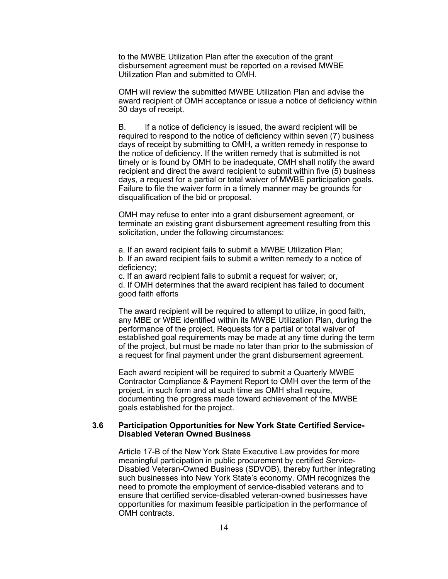to the MWBE Utilization Plan after the execution of the grant disbursement agreement must be reported on a revised MWBE Utilization Plan and submitted to OMH.

OMH will review the submitted MWBE Utilization Plan and advise the award recipient of OMH acceptance or issue a notice of deficiency within 30 days of receipt.

B. If a notice of deficiency is issued, the award recipient will be required to respond to the notice of deficiency within seven (7) business days of receipt by submitting to OMH, a written remedy in response to the notice of deficiency. If the written remedy that is submitted is not timely or is found by OMH to be inadequate, OMH shall notify the award recipient and direct the award recipient to submit within five (5) business days, a request for a partial or total waiver of MWBE participation goals. Failure to file the waiver form in a timely manner may be grounds for disqualification of the bid or proposal.

OMH may refuse to enter into a grant disbursement agreement, or terminate an existing grant disbursement agreement resulting from this solicitation, under the following circumstances:

a. If an award recipient fails to submit a MWBE Utilization Plan; b. If an award recipient fails to submit a written remedy to a notice of deficiency;

c. If an award recipient fails to submit a request for waiver; or, d. If OMH determines that the award recipient has failed to document good faith efforts

The award recipient will be required to attempt to utilize, in good faith, any MBE or WBE identified within its MWBE Utilization Plan, during the performance of the project. Requests for a partial or total waiver of established goal requirements may be made at any time during the term of the project, but must be made no later than prior to the submission of a request for final payment under the grant disbursement agreement.

Each award recipient will be required to submit a Quarterly MWBE Contractor Compliance & Payment Report to OMH over the term of the project, in such form and at such time as OMH shall require, documenting the progress made toward achievement of the MWBE goals established for the project.

#### **3.6 Participation Opportunities for New York State Certified Service-Disabled Veteran Owned Business**

Article 17-B of the New York State Executive Law provides for more meaningful participation in public procurement by certified Service-Disabled Veteran-Owned Business (SDVOB), thereby further integrating such businesses into New York State's economy. OMH recognizes the need to promote the employment of service-disabled veterans and to ensure that certified service-disabled veteran-owned businesses have opportunities for maximum feasible participation in the performance of OMH contracts.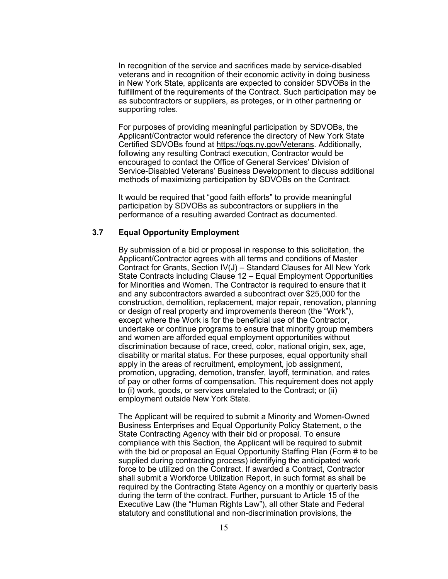In recognition of the service and sacrifices made by service-disabled veterans and in recognition of their economic activity in doing business in New York State, applicants are expected to consider SDVOBs in the fulfillment of the requirements of the Contract. Such participation may be as subcontractors or suppliers, as proteges, or in other partnering or supporting roles.

For purposes of providing meaningful participation by SDVOBs, the Applicant/Contractor would reference the directory of New York State Certified SDVOBs found at [https://ogs.ny.gov/Veterans.](https://ogs.ny.gov/Veterans) Additionally, following any resulting Contract execution, Contractor would be encouraged to contact the Office of General Services' Division of Service-Disabled Veterans' Business Development to discuss additional methods of maximizing participation by SDVOBs on the Contract.

It would be required that "good faith efforts" to provide meaningful participation by SDVOBs as subcontractors or suppliers in the performance of a resulting awarded Contract as documented.

# **3.7 Equal Opportunity Employment**

By submission of a bid or proposal in response to this solicitation, the Applicant/Contractor agrees with all terms and conditions of Master Contract for Grants, Section IV(J) – Standard Clauses for All New York State Contracts including Clause 12 – Equal Employment Opportunities for Minorities and Women. The Contractor is required to ensure that it and any subcontractors awarded a subcontract over \$25,000 for the construction, demolition, replacement, major repair, renovation, planning or design of real property and improvements thereon (the "Work"), except where the Work is for the beneficial use of the Contractor, undertake or continue programs to ensure that minority group members and women are afforded equal employment opportunities without discrimination because of race, creed, color, national origin, sex, age, disability or marital status. For these purposes, equal opportunity shall apply in the areas of recruitment, employment, job assignment, promotion, upgrading, demotion, transfer, layoff, termination, and rates of pay or other forms of compensation. This requirement does not apply to (i) work, goods, or services unrelated to the Contract; or (ii) employment outside New York State.

The Applicant will be required to submit a Minority and Women-Owned Business Enterprises and Equal Opportunity Policy Statement, o the State Contracting Agency with their bid or proposal. To ensure compliance with this Section, the Applicant will be required to submit with the bid or proposal an Equal Opportunity Staffing Plan (Form # to be supplied during contracting process) identifying the anticipated work force to be utilized on the Contract. If awarded a Contract, Contractor shall submit a Workforce Utilization Report, in such format as shall be required by the Contracting State Agency on a monthly or quarterly basis during the term of the contract. Further, pursuant to Article 15 of the Executive Law (the "Human Rights Law"), all other State and Federal statutory and constitutional and non-discrimination provisions, the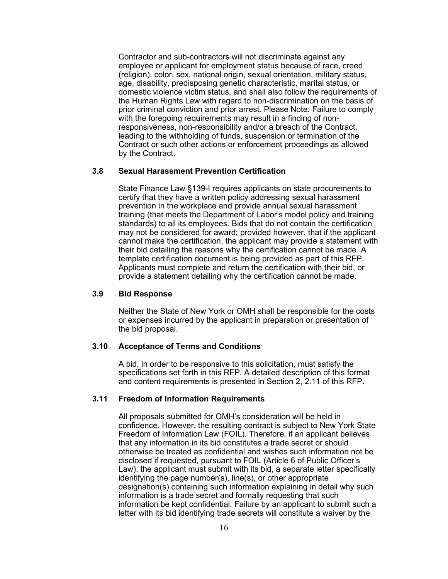Contractor and sub-contractors will not discriminate against any employee or applicant for employment status because of race, creed (religion), color, sex, national origin, sexual orientation, military status, age, disability, predisposing genetic characteristic, marital status, or domestic violence victim status, and shall also follow the requirements of the Human Rights Law with regard to non-discrimination on the basis of prior criminal conviction and prior arrest. Please Note: Failure to comply with the foregoing requirements may result in a finding of nonresponsiveness, non-responsibility and/or a breach of the Contract, leading to the withholding of funds, suspension or termination of the Contract or such other actions or enforcement proceedings as allowed by the Contract.

#### **3.8 Sexual Harassment Prevention Certification**

State Finance Law §139-I requires applicants on state procurements to certify that they have a written policy addressing sexual harassment prevention in the workplace and provide annual sexual harassment training (that meets the Department of Labor's model policy and training standards) to all its employees. Bids that do not contain the certification may not be considered for award; provided however, that if the applicant cannot make the certification, the applicant may provide a statement with their bid detailing the reasons why the certification cannot be made. A template certification document is being provided as part of this RFP. Applicants must complete and return the certification with their bid, or provide a statement detailing why the certification cannot be made.

#### **3.9 Bid Response**

Neither the State of New York or OMH shall be responsible for the costs or expenses incurred by the applicant in preparation or presentation of the bid proposal.

#### **3.10 Acceptance of Terms and Conditions**

A bid, in order to be responsive to this solicitation, must satisfy the specifications set forth in this RFP. A detailed description of this format and content requirements is presented in Section 2, 2.11 of this RFP.

#### **3.11 Freedom of Information Requirements**

All proposals submitted for OMH's consideration will be held in confidence. However, the resulting contract is subject to New York State Freedom of Information Law (FOIL). Therefore, if an applicant believes that any information in its bid constitutes a trade secret or should otherwise be treated as confidential and wishes such information not be disclosed if requested, pursuant to FOIL (Article 6 of Public Officer's Law), the applicant must submit with its bid, a separate letter specifically identifying the page number(s), line(s), or other appropriate designation(s) containing such information explaining in detail why such information is a trade secret and formally requesting that such information be kept confidential. Failure by an applicant to submit such a letter with its bid identifying trade secrets will constitute a waiver by the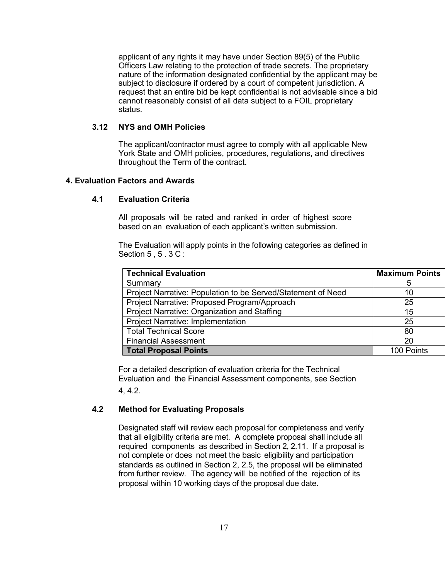applicant of any rights it may have under Section 89(5) of the Public Officers Law relating to the protection of trade secrets. The proprietary nature of the information designated confidential by the applicant may be subject to disclosure if ordered by a court of competent jurisdiction. A request that an entire bid be kept confidential is not advisable since a bid cannot reasonably consist of all data subject to a FOIL proprietary status.

#### **3.12 NYS and OMH Policies**

The applicant/contractor must agree to comply with all applicable New York State and OMH policies, procedures, regulations, and directives throughout the Term of the contract.

#### **4. Evaluation Factors and Awards**

#### **4.1 Evaluation Criteria**

All proposals will be rated and ranked in order of highest score based on an evaluation of each applicant's written submission.

The Evaluation will apply points in the following categories as defined in Section 5 , 5 , 3 C :

| <b>Technical Evaluation</b>                                  | <b>Maximum Points</b> |
|--------------------------------------------------------------|-----------------------|
| Summary                                                      | 5                     |
| Project Narrative: Population to be Served/Statement of Need | 10                    |
| Project Narrative: Proposed Program/Approach                 | 25                    |
| Project Narrative: Organization and Staffing                 | 15                    |
| Project Narrative: Implementation                            | 25                    |
| <b>Total Technical Score</b>                                 | 80                    |
| <b>Financial Assessment</b>                                  | 20                    |
| <b>Total Proposal Points</b>                                 | 100 Points            |

For a detailed description of evaluation criteria for the Technical Evaluation and the Financial Assessment components, see Section 4, 4.2.

#### **4.2 Method for Evaluating Proposals**

Designated staff will review each proposal for completeness and verify that all eligibility criteria are met. A complete proposal shall include all required components as described in Section 2, 2.11. If a proposal is not complete or does not meet the basic eligibility and participation standards as outlined in Section 2, 2.5, the proposal will be eliminated from further review. The agency will be notified of the rejection of its proposal within 10 working days of the proposal due date.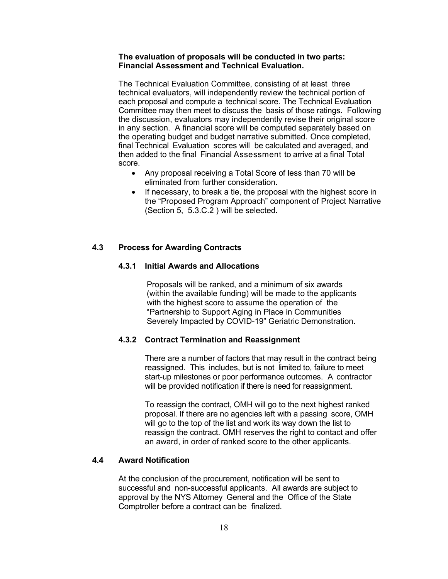#### **The evaluation of proposals will be conducted in two parts: Financial Assessment and Technical Evaluation.**

The Technical Evaluation Committee, consisting of at least three technical evaluators, will independently review the technical portion of each proposal and compute a technical score. The Technical Evaluation Committee may then meet to discuss the basis of those ratings. Following the discussion, evaluators may independently revise their original score in any section. A financial score will be computed separately based on the operating budget and budget narrative submitted. Once completed, final Technical Evaluation scores will be calculated and averaged, and then added to the final Financial Assessment to arrive at a final Total score.

- Any proposal receiving a Total Score of less than 70 will be eliminated from further consideration.
- If necessary, to break a tie, the proposal with the highest score in the "Proposed Program Approach" component of Project Narrative (Section 5, 5.3.C.2 ) will be selected.

#### **4.3 Process for Awarding Contracts**

#### **4.3.1 Initial Awards and Allocations**

Proposals will be ranked, and a minimum of six awards (within the available funding) will be made to the applicants with the highest score to assume the operation of the "Partnership to Support Aging in Place in Communities Severely Impacted by COVID-19" Geriatric Demonstration.

#### **4.3.2 Contract Termination and Reassignment**

There are a number of factors that may result in the contract being reassigned. This includes, but is not limited to, failure to meet start-up milestones or poor performance outcomes. A contractor will be provided notification if there is need for reassignment.

To reassign the contract, OMH will go to the next highest ranked proposal. If there are no agencies left with a passing score, OMH will go to the top of the list and work its way down the list to reassign the contract. OMH reserves the right to contact and offer an award, in order of ranked score to the other applicants.

## **4.4 Award Notification**

At the conclusion of the procurement, notification will be sent to successful and non-successful applicants. All awards are subject to approval by the NYS Attorney General and the Office of the State Comptroller before a contract can be finalized.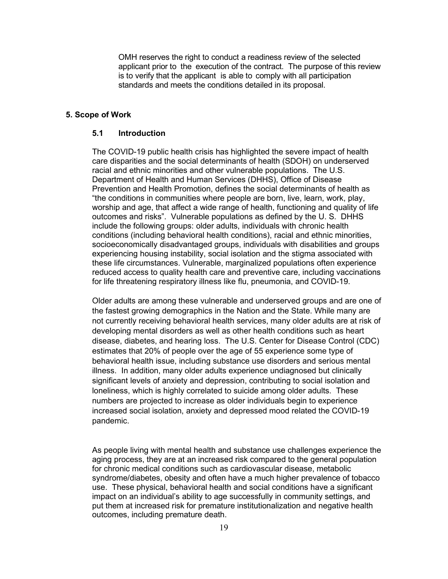OMH reserves the right to conduct a readiness review of the selected applicant prior to the execution of the contract. The purpose of this review is to verify that the applicant is able to comply with all participation standards and meets the conditions detailed in its proposal.

#### **5. Scope of Work**

#### **5.1 Introduction**

The COVID-19 public health crisis has highlighted the severe impact of health care disparities and the social determinants of health (SDOH) on underserved racial and ethnic minorities and other vulnerable populations. The U.S. Department of Health and Human Services (DHHS), Office of Disease Prevention and Health Promotion, defines the social determinants of health as "the conditions in communities where people are born, live, learn, work, play, worship and age, that affect a wide range of health, functioning and quality of life outcomes and risks". Vulnerable populations as defined by the U. S. DHHS include the following groups: older adults, individuals with chronic health conditions (including behavioral health conditions), racial and ethnic minorities, socioeconomically disadvantaged groups, individuals with disabilities and groups experiencing housing instability, social isolation and the stigma associated with these life circumstances. Vulnerable, marginalized populations often experience reduced access to quality health care and preventive care, including vaccinations for life threatening respiratory illness like flu, pneumonia, and COVID-19.

Older adults are among these vulnerable and underserved groups and are one of the fastest growing demographics in the Nation and the State. While many are not currently receiving behavioral health services, many older adults are at risk of developing mental disorders as well as other health conditions such as heart disease, diabetes, and hearing loss. The U.S. Center for Disease Control (CDC) estimates that 20% of people over the age of 55 experience some type of behavioral health issue, including substance use disorders and serious mental illness. In addition, many older adults experience undiagnosed but clinically significant levels of anxiety and depression, contributing to social isolation and loneliness, which is highly correlated to suicide among older adults. These numbers are projected to increase as older individuals begin to experience increased social isolation, anxiety and depressed mood related the COVID-19 pandemic.

As people living with mental health and substance use challenges experience the aging process, they are at an increased risk compared to the general population for chronic medical conditions such as cardiovascular disease, metabolic syndrome/diabetes, obesity and often have a much higher prevalence of tobacco use. These physical, behavioral health and social conditions have a significant impact on an individual's ability to age successfully in community settings, and put them at increased risk for premature institutionalization and negative health outcomes, including premature death.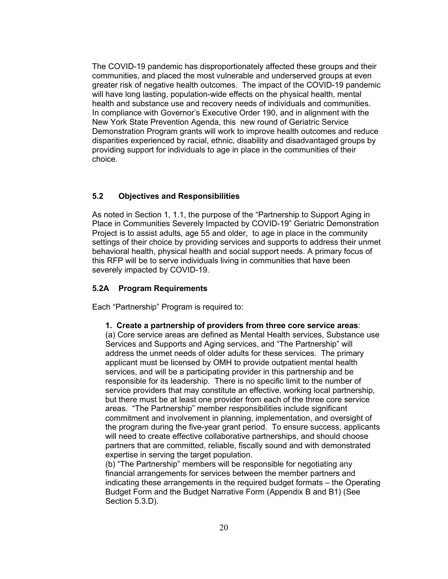The COVID-19 pandemic has disproportionately affected these groups and their communities, and placed the most vulnerable and underserved groups at even greater risk of negative health outcomes. The impact of the COVID-19 pandemic will have long lasting, population-wide effects on the physical health, mental health and substance use and recovery needs of individuals and communities. In compliance with Governor's Executive Order 190, and in alignment with the New York State Prevention Agenda, this new round of Geriatric Service Demonstration Program grants will work to improve health outcomes and reduce disparities experienced by racial, ethnic, disability and disadvantaged groups by providing support for individuals to age in place in the communities of their choice.

# **5.2 Objectives and Responsibilities**

As noted in Section 1, 1.1, the purpose of the "Partnership to Support Aging in Place in Communities Severely Impacted by COVID-19" Geriatric Demonstration Project is to assist adults, age 55 and older, to age in place in the community settings of their choice by providing services and supports to address their unmet behavioral health, physical health and social support needs. A primary focus of this RFP will be to serve individuals living in communities that have been severely impacted by COVID-19.

#### **5.2A Program Requirements**

Each "Partnership" Program is required to:

#### **1. Create a partnership of providers from three core service areas**:

(a) Core service areas are defined as Mental Health services, Substance use Services and Supports and Aging services, and "The Partnership" will address the unmet needs of older adults for these services. The primary applicant must be licensed by OMH to provide outpatient mental health services, and will be a participating provider in this partnership and be responsible for its leadership. There is no specific limit to the number of service providers that may constitute an effective, working local partnership, but there must be at least one provider from each of the three core service areas. "The Partnership" member responsibilities include significant commitment and involvement in planning, implementation, and oversight of the program during the five-year grant period. To ensure success, applicants will need to create effective collaborative partnerships, and should choose partners that are committed, reliable, fiscally sound and with demonstrated expertise in serving the target population.

(b) "The Partnership" members will be responsible for negotiating any financial arrangements for services between the member partners and indicating these arrangements in the required budget formats – the Operating Budget Form and the Budget Narrative Form (Appendix B and B1) (See Section 5.3.D).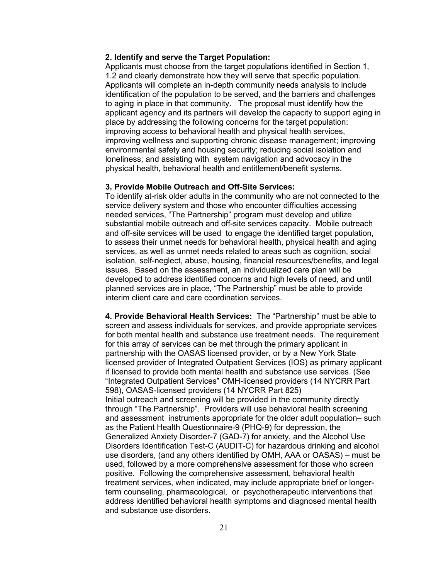#### **2. Identify and serve the Target Population:**

Applicants must choose from the target populations identified in Section 1, 1.2 and clearly demonstrate how they will serve that specific population. Applicants will complete an in-depth community needs analysis to include identification of the population to be served, and the barriers and challenges to aging in place in that community. The proposal must identify how the applicant agency and its partners will develop the capacity to support aging in place by addressing the following concerns for the target population: improving access to behavioral health and physical health services, improving wellness and supporting chronic disease management; improving environmental safety and housing security; reducing social isolation and loneliness; and assisting with system navigation and advocacy in the physical health, behavioral health and entitlement/benefit systems.

#### **3. Provide Mobile Outreach and Off-Site Services:**

To identify at-risk older adults in the community who are not connected to the service delivery system and those who encounter difficulties accessing needed services, "The Partnership" program must develop and utilize substantial mobile outreach and off-site services capacity. Mobile outreach and off-site services will be used to engage the identified target population, to assess their unmet needs for behavioral health, physical health and aging services, as well as unmet needs related to areas such as cognition, social isolation, self-neglect, abuse, housing, financial resources/benefits, and legal issues. Based on the assessment, an individualized care plan will be developed to address identified concerns and high levels of need, and until planned services are in place, "The Partnership" must be able to provide interim client care and care coordination services.

**4. Provide Behavioral Health Services:** The "Partnership" must be able to screen and assess individuals for services, and provide appropriate services for both mental health and substance use treatment needs. The requirement for this array of services can be met through the primary applicant in partnership with the OASAS licensed provider, or by a New York State licensed provider of Integrated Outpatient Services (IOS) as primary applicant if licensed to provide both mental health and substance use services. (See "Integrated Outpatient Services" OMH-licensed providers (14 NYCRR Part 598), OASAS-licensed providers (14 NYCRR Part 825) Initial outreach and screening will be provided in the community directly through "The Partnership". Providers will use behavioral health screening and assessment instruments appropriate for the older adult population– such as the Patient Health Questionnaire-9 (PHQ-9) for depression, the Generalized Anxiety Disorder-7 (GAD-7) for anxiety, and the Alcohol Use Disorders Identification Test-C (AUDIT-C) for hazardous drinking and alcohol use disorders, (and any others identified by OMH, AAA or OASAS) – must be used, followed by a more comprehensive assessment for those who screen positive. Following the comprehensive assessment, behavioral health treatment services, when indicated, may include appropriate brief or longerterm counseling, pharmacological, or psychotherapeutic interventions that address identified behavioral health symptoms and diagnosed mental health and substance use disorders.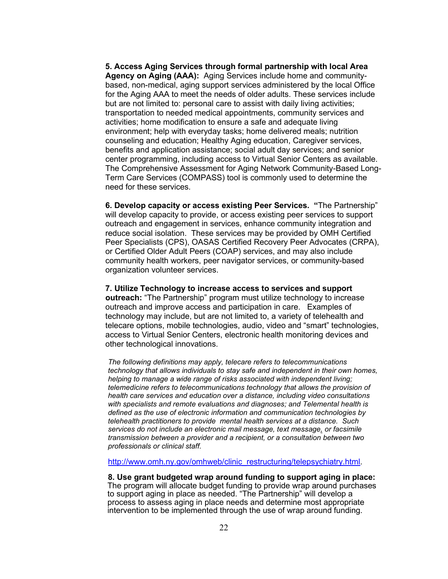**5. Access Aging Services through formal partnership with local Area Agency on Aging (AAA):** Aging Services include home and communitybased, non-medical, aging support services administered by the local Office for the Aging AAA to meet the needs of older adults. These services include but are not limited to: personal care to assist with daily living activities; transportation to needed medical appointments, community services and activities; home modification to ensure a safe and adequate living environment; help with everyday tasks; home delivered meals; nutrition counseling and education; Healthy Aging education, Caregiver services, benefits and application assistance; social adult day services; and senior center programming, including access to Virtual Senior Centers as available. The Comprehensive Assessment for Aging Network Community-Based Long-Term Care Services (COMPASS) tool is commonly used to determine the need for these services.

**6. Develop capacity or access existing Peer Services. "**The Partnership" will develop capacity to provide, or access existing peer services to support outreach and engagement in services, enhance community integration and reduce social isolation. These services may be provided by OMH Certified Peer Specialists (CPS), OASAS Certified Recovery Peer Advocates (CRPA), or Certified Older Adult Peers (COAP) services, and may also include community health workers, peer navigator services, or community-based organization volunteer services.

**7. Utilize Technology to increase access to services and support**

**outreach:** "The Partnership" program must utilize technology to increase outreach and improve access and participation in care. Examples of technology may include, but are not limited to, a variety of telehealth and telecare options, mobile technologies, audio, video and "smart" technologies, access to Virtual Senior Centers, electronic health monitoring devices and other technological innovations.

*The following definitions may apply, telecare refers to telecommunications technology that allows individuals to stay safe and independent in their own homes, helping to manage a wide range of risks associated with independent living; telemedicine refers to telecommunications technology that allows the provision of health care services and education over a distance, including video consultations with specialists and remote evaluations and diagnoses; and Telemental health is defined as the use of electronic information and communication technologies by telehealth practitioners to provide mental health services at a distance. Such services do not include an electronic mail message, text message, or facsimile transmission between a provider and a recipient, or a consultation between two professionals or clinical staff.*

[http://www.omh.ny.gov/omhweb/clinic\\_restructuring/telepsychiatry.html.](http://www.omh.ny.gov/omhweb/clinic_restructuring/telepsychiatry.html)

#### **8. Use grant budgeted wrap around funding to support aging in place:**

The program will allocate budget funding to provide wrap around purchases to support aging in place as needed. "The Partnership" will develop a process to assess aging in place needs and determine most appropriate intervention to be implemented through the use of wrap around funding.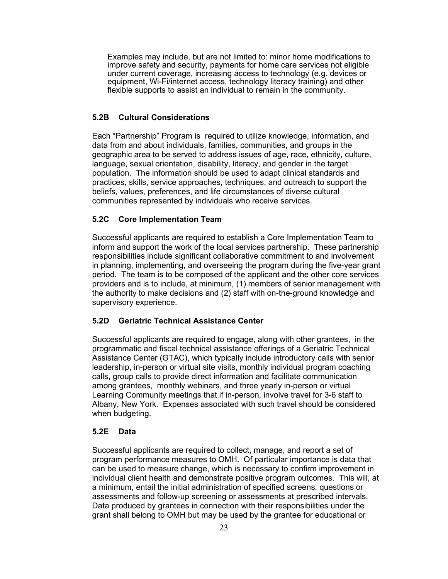Examples may include, but are not limited to: minor home modifications to improve safety and security, payments for home care services not eligible under current coverage, increasing access to technology (e.g. devices or equipment, Wi-Fi/internet access, technology literacy training) and other flexible supports to assist an individual to remain in the community.

# **5.2B Cultural Considerations**

Each "Partnership" Program is required to utilize knowledge, information, and data from and about individuals, families, communities, and groups in the geographic area to be served to address issues of age, race, ethnicity, culture, language, sexual orientation, disability, literacy, and gender in the target population. The information should be used to adapt clinical standards and practices, skills, service approaches, techniques, and outreach to support the beliefs, values, preferences, and life circumstances of diverse cultural communities represented by individuals who receive services.

# **5.2C Core Implementation Team**

Successful applicants are required to establish a Core Implementation Team to inform and support the work of the local services partnership. These partnership responsibilities include significant collaborative commitment to and involvement in planning, implementing, and overseeing the program during the five-year grant period. The team is to be composed of the applicant and the other core services providers and is to include, at minimum, (1) members of senior management with the authority to make decisions and (2) staff with on-the-ground knowledge and supervisory experience.

# **5.2D Geriatric Technical Assistance Center**

Successful applicants are required to engage, along with other grantees, in the programmatic and fiscal technical assistance offerings of a Geriatric Technical Assistance Center (GTAC), which typically include introductory calls with senior leadership, in-person or virtual site visits, monthly individual program coaching calls, group calls to provide direct information and facilitate communication among grantees, monthly webinars, and three yearly in-person or virtual Learning Community meetings that if in-person, involve travel for 3-6 staff to Albany, New York. Expenses associated with such travel should be considered when budgeting.

# **5.2E Data**

Successful applicants are required to collect, manage, and report a set of program performance measures to OMH. Of particular importance is data that can be used to measure change, which is necessary to confirm improvement in individual client health and demonstrate positive program outcomes. This will, at a minimum, entail the initial administration of specified screens, questions or assessments and follow-up screening or assessments at prescribed intervals. Data produced by grantees in connection with their responsibilities under the grant shall belong to OMH but may be used by the grantee for educational or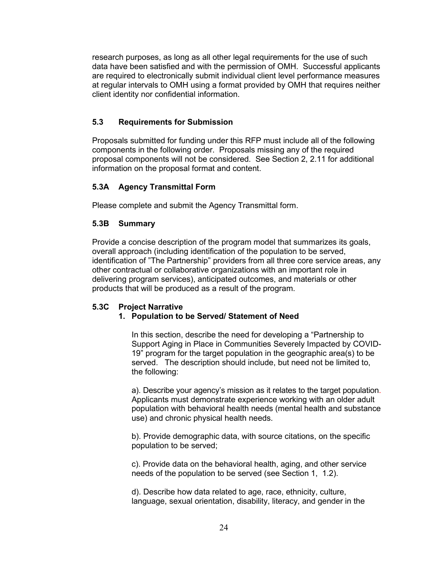research purposes, as long as all other legal requirements for the use of such data have been satisfied and with the permission of OMH. Successful applicants are required to electronically submit individual client level performance measures at regular intervals to OMH using a format provided by OMH that requires neither client identity nor confidential information.

#### **5.3 Requirements for Submission**

Proposals submitted for funding under this RFP must include all of the following components in the following order. Proposals missing any of the required proposal components will not be considered. See Section 2, 2.11 for additional information on the proposal format and content.

# **5.3A Agency Transmittal Form**

Please complete and submit the Agency Transmittal form.

#### **5.3B Summary**

Provide a concise description of the program model that summarizes its goals, overall approach (including identification of the population to be served, identification of "The Partnership" providers from all three core service areas, any other contractual or collaborative organizations with an important role in delivering program services), anticipated outcomes, and materials or other products that will be produced as a result of the program.

#### **5.3C Project Narrative**

#### **1. Population to be Served/ Statement of Need**

In this section, describe the need for developing a "Partnership to Support Aging in Place in Communities Severely Impacted by COVID-19" program for the target population in the geographic area(s) to be served. The description should include, but need not be limited to, the following:

a). Describe your agency's mission as it relates to the target population. Applicants must demonstrate experience working with an older adult population with behavioral health needs (mental health and substance use) and chronic physical health needs.

b). Provide demographic data, with source citations, on the specific population to be served;

c). Provide data on the behavioral health, aging, and other service needs of the population to be served (see Section 1, 1.2).

d). Describe how data related to age, race, ethnicity, culture, language, sexual orientation, disability, literacy, and gender in the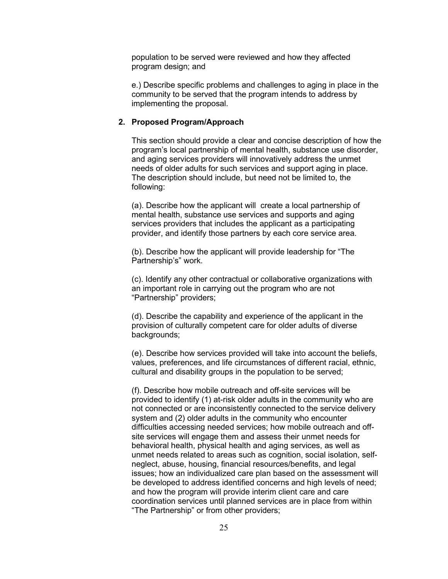population to be served were reviewed and how they affected program design; and

e.) Describe specific problems and challenges to aging in place in the community to be served that the program intends to address by implementing the proposal.

#### **2. Proposed Program/Approach**

This section should provide a clear and concise description of how the program's local partnership of mental health, substance use disorder, and aging services providers will innovatively address the unmet needs of older adults for such services and support aging in place. The description should include, but need not be limited to, the following:

(a). Describe how the applicant will create a local partnership of mental health, substance use services and supports and aging services providers that includes the applicant as a participating provider, and identify those partners by each core service area.

(b). Describe how the applicant will provide leadership for "The Partnership's" work.

(c). Identify any other contractual or collaborative organizations with an important role in carrying out the program who are not "Partnership" providers;

(d). Describe the capability and experience of the applicant in the provision of culturally competent care for older adults of diverse backgrounds;

(e). Describe how services provided will take into account the beliefs, values, preferences, and life circumstances of different racial, ethnic, cultural and disability groups in the population to be served;

(f). Describe how mobile outreach and off-site services will be provided to identify (1) at-risk older adults in the community who are not connected or are inconsistently connected to the service delivery system and (2) older adults in the community who encounter difficulties accessing needed services; how mobile outreach and offsite services will engage them and assess their unmet needs for behavioral health, physical health and aging services, as well as unmet needs related to areas such as cognition, social isolation, selfneglect, abuse, housing, financial resources/benefits, and legal issues; how an individualized care plan based on the assessment will be developed to address identified concerns and high levels of need; and how the program will provide interim client care and care coordination services until planned services are in place from within "The Partnership" or from other providers;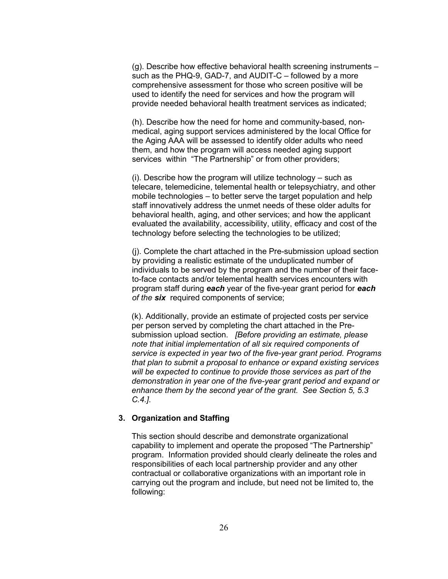(g). Describe how effective behavioral health screening instruments – such as the PHQ-9, GAD-7, and AUDIT-C – followed by a more comprehensive assessment for those who screen positive will be used to identify the need for services and how the program will provide needed behavioral health treatment services as indicated;

(h). Describe how the need for home and community-based, nonmedical, aging support services administered by the local Office for the Aging AAA will be assessed to identify older adults who need them, and how the program will access needed aging support services within "The Partnership" or from other providers;

(i). Describe how the program will utilize technology – such as telecare, telemedicine, telemental health or telepsychiatry, and other mobile technologies – to better serve the target population and help staff innovatively address the unmet needs of these older adults for behavioral health, aging, and other services; and how the applicant evaluated the availability, accessibility, utility, efficacy and cost of the technology before selecting the technologies to be utilized;

(j). Complete the chart attached in the Pre-submission upload section by providing a realistic estimate of the unduplicated number of individuals to be served by the program and the number of their faceto-face contacts and/or telemental health services encounters with program staff during *each* year of the five-year grant period for *each of the six* required components of service;

(k). Additionally, provide an estimate of projected costs per service per person served by completing the chart attached in the Presubmission upload section. *[Before providing an estimate, please note that initial implementation of all six required components of service is expected in year two of the five-year grant period. Programs that plan to submit a proposal to enhance or expand existing services will be expected to continue to provide those services as part of the demonstration in year one of the five-year grant period and expand or enhance them by the second year of the grant. See Section 5, 5.3 C.4.]*.

#### **3. Organization and Staffing**

This section should describe and demonstrate organizational capability to implement and operate the proposed "The Partnership" program. Information provided should clearly delineate the roles and responsibilities of each local partnership provider and any other contractual or collaborative organizations with an important role in carrying out the program and include, but need not be limited to, the following: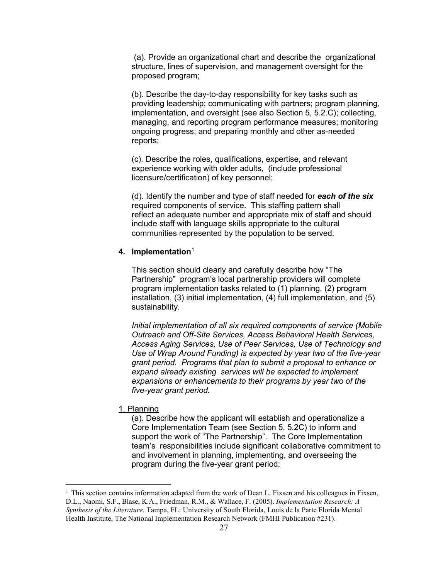(a). Provide an organizational chart and describe the organizational structure, lines of supervision, and management oversight for the proposed program;

(b). Describe the day-to-day responsibility for key tasks such as providing leadership; communicating with partners; program planning, implementation, and oversight (see also Section 5, 5.2.C); collecting, managing, and reporting program performance measures; monitoring ongoing progress; and preparing monthly and other as-needed reports;

(c). Describe the roles, qualifications, expertise, and relevant experience working with older adults, (include professional licensure/certification) of key personnel;

(d). Identify the number and type of staff needed for *each of the six*  required components of service. This staffing pattern shall reflect an adequate number and appropriate mix of staff and should include staff with language skills appropriate to the cultural communities represented by the population to be served.

#### **4. Implementation**[1](#page-27-0)

This section should clearly and carefully describe how "The Partnership" program's local partnership providers will complete program implementation tasks related to (1) planning, (2) program installation, (3) initial implementation, (4) full implementation, and (5) sustainability.

*Initial implementation of all six required components of service (Mobile Outreach and Off-Site Services, Access Behavioral Health Services, Access Aging Services, Use of Peer Services, Use of Technology and Use of Wrap Around Funding) is expected by year two of the five-year grant period. Programs that plan to submit a proposal to enhance or expand already existing services will be expected to implement expansions or enhancements to their programs by year two of the five-year grant period.*

1. Planning

(a). Describe how the applicant will establish and operationalize a Core Implementation Team (see Section 5, 5.2C) to inform and support the work of "The Partnership". The Core Implementation team's responsibilities include significant collaborative commitment to and involvement in planning, implementing, and overseeing the program during the five-year grant period;

<span id="page-27-0"></span> $<sup>1</sup>$  This section contains information adapted from the work of Dean L. Fixsen and his colleagues in Fixsen,</sup> D.L., Naomi, S.F., Blase, K.A., Friedman, R.M., & Wallace, F. (2005). *Implementation Research: A Synthesis of the Literature.* Tampa, FL: University of South Florida, Louis de la Parte Florida Mental Health Institute, The National Implementation Research Network (FMHI Publication #231).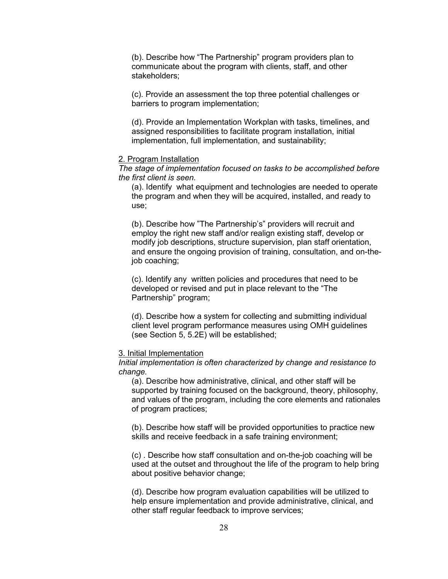(b). Describe how "The Partnership" program providers plan to communicate about the program with clients, staff, and other stakeholders;

(c). Provide an assessment the top three potential challenges or barriers to program implementation;

(d). Provide an Implementation Workplan with tasks, timelines, and assigned responsibilities to facilitate program installation, initial implementation, full implementation, and sustainability;

#### 2. Program Installation

*The stage of implementation focused on tasks to be accomplished before the first client is seen.*

(a). Identify what equipment and technologies are needed to operate the program and when they will be acquired, installed, and ready to use;

(b). Describe how "The Partnership's" providers will recruit and employ the right new staff and/or realign existing staff, develop or modify job descriptions, structure supervision, plan staff orientation, and ensure the ongoing provision of training, consultation, and on-thejob coaching;

(c). Identify any written policies and procedures that need to be developed or revised and put in place relevant to the "The Partnership" program;

(d). Describe how a system for collecting and submitting individual client level program performance measures using OMH guidelines (see Section 5, 5.2E) will be established;

#### 3. Initial Implementation

*Initial implementation is often characterized by change and resistance to change.*

(a). Describe how administrative, clinical, and other staff will be supported by training focused on the background, theory, philosophy, and values of the program, including the core elements and rationales of program practices;

(b). Describe how staff will be provided opportunities to practice new skills and receive feedback in a safe training environment;

(c) . Describe how staff consultation and on-the-job coaching will be used at the outset and throughout the life of the program to help bring about positive behavior change;

(d). Describe how program evaluation capabilities will be utilized to help ensure implementation and provide administrative, clinical, and other staff regular feedback to improve services;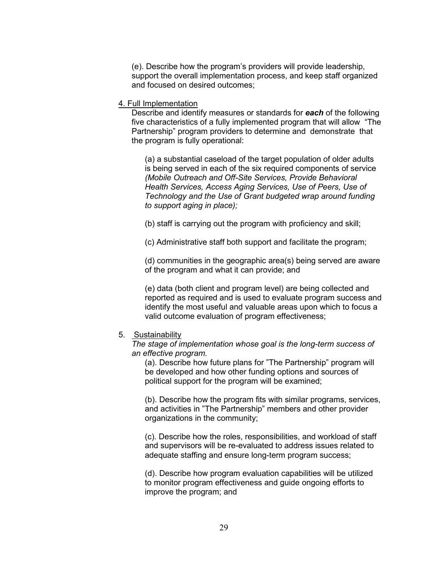(e). Describe how the program's providers will provide leadership, support the overall implementation process, and keep staff organized and focused on desired outcomes;

#### 4. Full Implementation

Describe and identify measures or standards for *each* of the following five characteristics of a fully implemented program that will allow "The Partnership" program providers to determine and demonstrate that the program is fully operational:

(a) a substantial caseload of the target population of older adults is being served in each of the six required components of service *(Mobile Outreach and Off-Site Services, Provide Behavioral Health Services, Access Aging Services, Use of Peers, Use of Technology and the Use of Grant budgeted wrap around funding to support aging in place);*

(b) staff is carrying out the program with proficiency and skill;

(c) Administrative staff both support and facilitate the program;

(d) communities in the geographic area(s) being served are aware of the program and what it can provide; and

(e) data (both client and program level) are being collected and reported as required and is used to evaluate program success and identify the most useful and valuable areas upon which to focus a valid outcome evaluation of program effectiveness;

# 5. Sustainability

*The stage of implementation whose goal is the long-term success of an effective program.*

(a). Describe how future plans for "The Partnership" program will be developed and how other funding options and sources of political support for the program will be examined;

(b). Describe how the program fits with similar programs, services, and activities in "The Partnership" members and other provider organizations in the community;

(c). Describe how the roles, responsibilities, and workload of staff and supervisors will be re-evaluated to address issues related to adequate staffing and ensure long-term program success;

(d). Describe how program evaluation capabilities will be utilized to monitor program effectiveness and guide ongoing efforts to improve the program; and